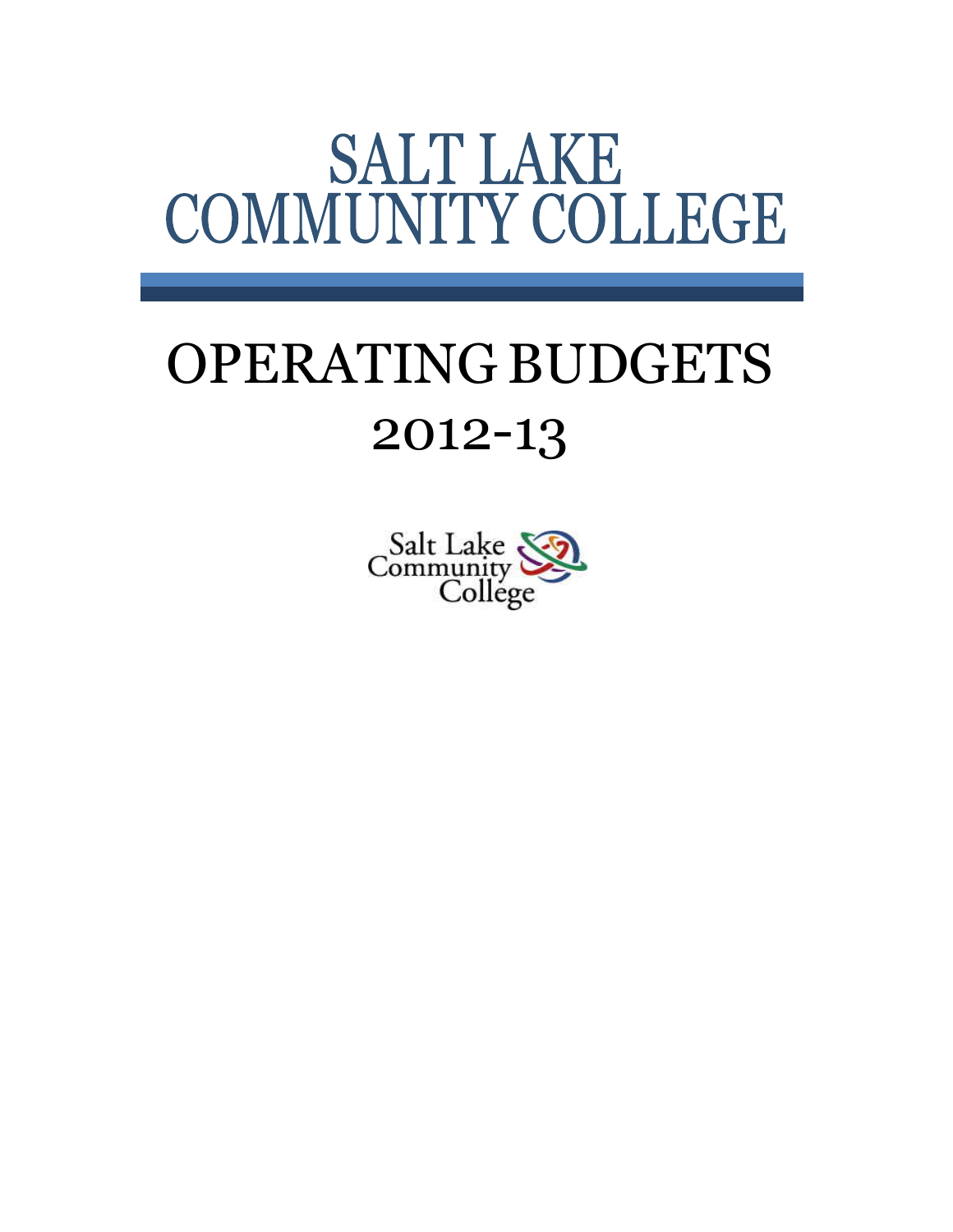# **SALT LAKE** COMMUNITY COLLEGE

# OPERATING BUDGETS 2012-13

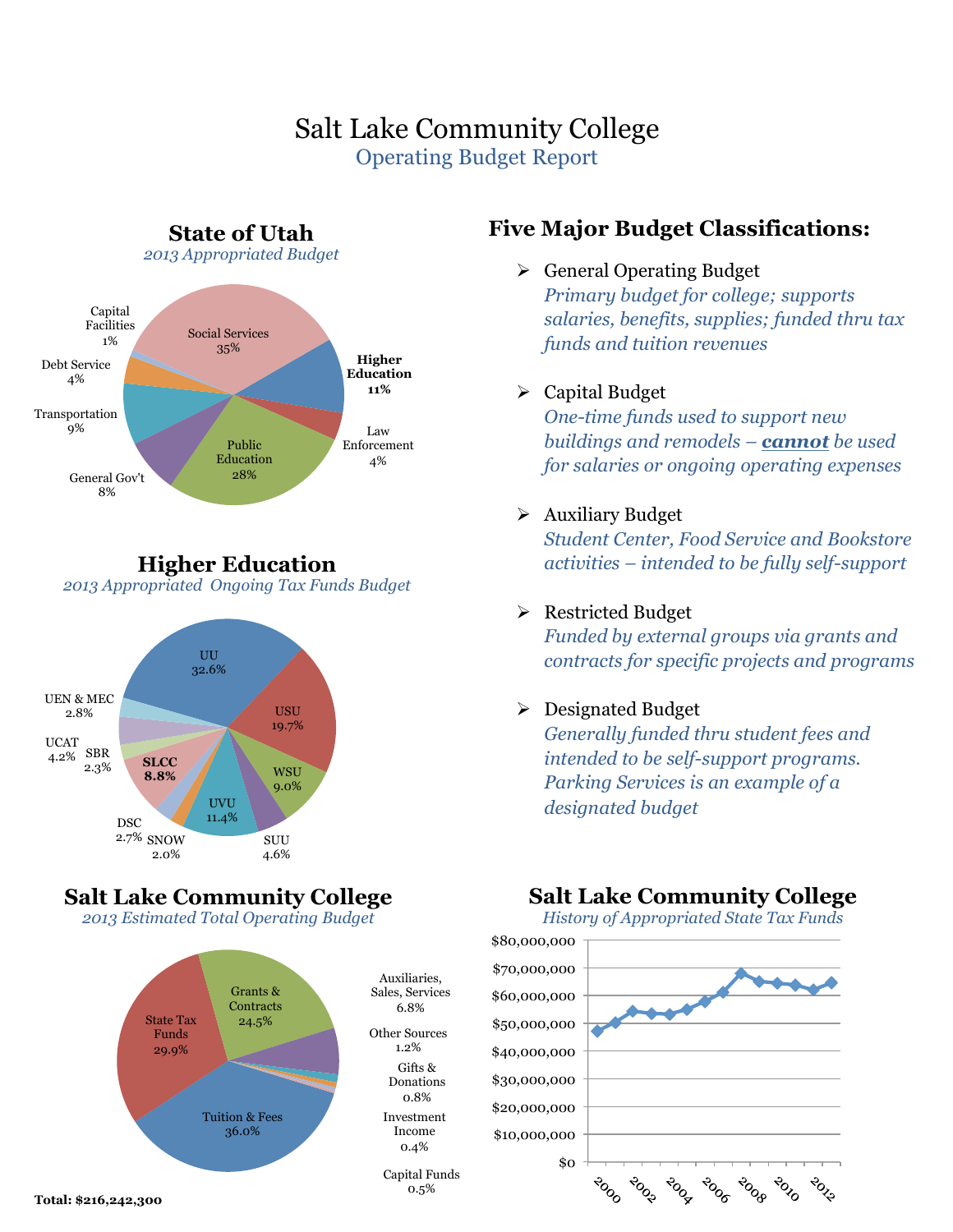# Salt Lake Community College Operating Budget Report



**Higher Education**  *2013 Appropriated Ongoing Tax Funds Budget* 



# **Salt Lake Community College**

*2013 Estimated Total Operating Budget* 



# **Five Major Budget Classifications:**

 $\triangleright$  General Operating Budget

*Primary budget for college; supports salaries, benefits, supplies; funded thru tax funds and tuition revenues*

#### $\triangleright$  Capital Budget

*One-time funds used to support new buildings and remodels – cannot be used for salaries or ongoing operating expenses*

#### $\triangleright$  Auxiliary Budget

*Student Center, Food Service and Bookstore activities – intended to be fully self-support*

#### Ø Restricted Budget

*Funded by external groups via grants and contracts for specific projects and programs*

#### $\triangleright$  Designated Budget

*Generally funded thru student fees and intended to be self-support programs. Parking Services is an example of a designated budget*

# **Salt Lake Community College**

*History of Appropriated State Tax Funds* 

\$80,000,000 \$70,000,000 \$60,000,000 \$50,000,000 \$40,000,000 \$30,000,000 \$20,000,000 \$10,000,000 \$0 BLSS **POCA**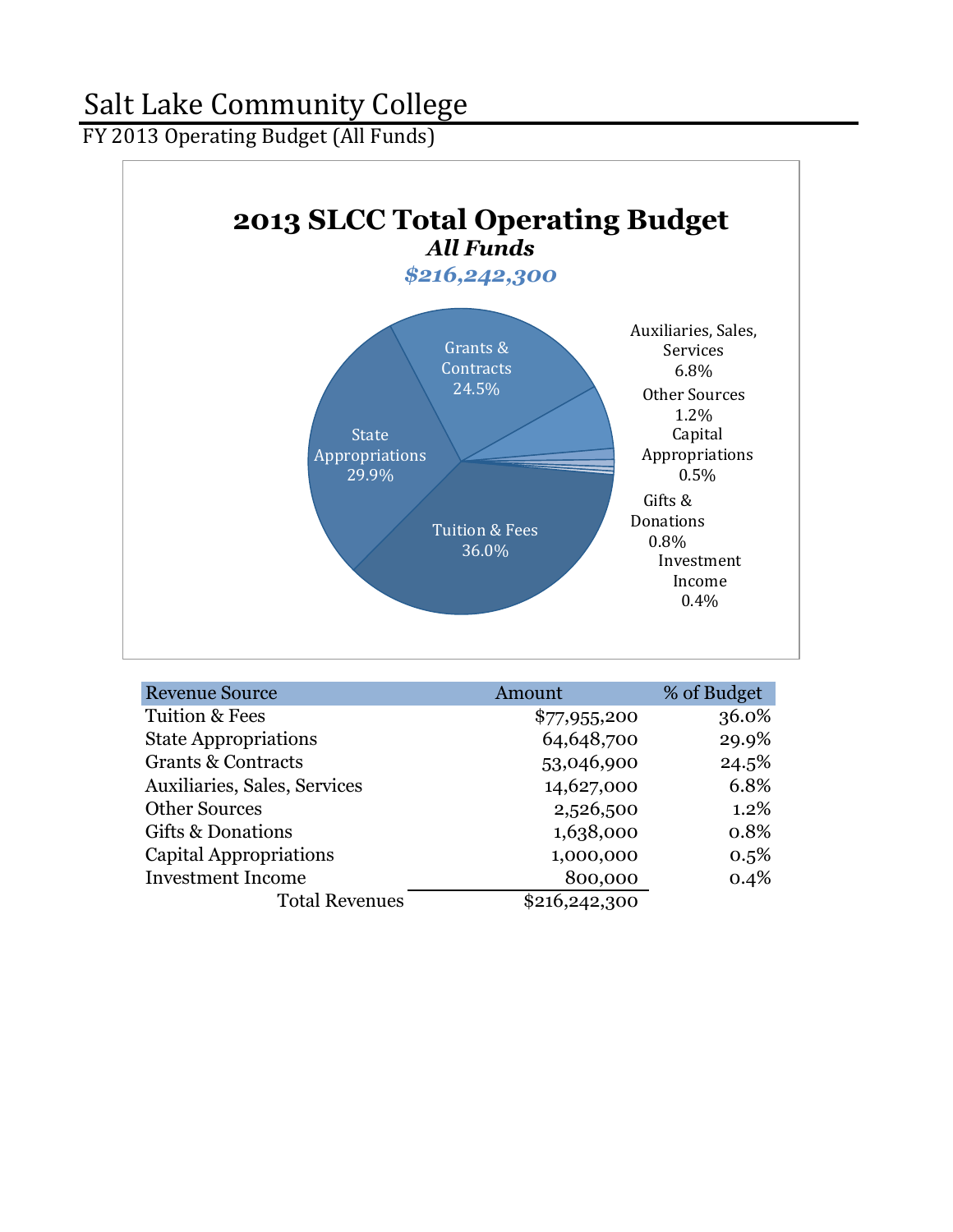FY 2013 Operating Budget (All Funds)



| <b>Revenue Source</b>         | Amount        | % of Budget |
|-------------------------------|---------------|-------------|
| <b>Tuition &amp; Fees</b>     | \$77,955,200  | 36.0%       |
| <b>State Appropriations</b>   | 64,648,700    | 29.9%       |
| <b>Grants &amp; Contracts</b> | 53,046,900    | 24.5%       |
| Auxiliaries, Sales, Services  | 14,627,000    | 6.8%        |
| <b>Other Sources</b>          | 2,526,500     | 1.2%        |
| Gifts & Donations             | 1,638,000     | 0.8%        |
| Capital Appropriations        | 1,000,000     | $0.5\%$     |
| <b>Investment Income</b>      | 800,000       | 0.4%        |
| <b>Total Revenues</b>         | \$216,242,300 |             |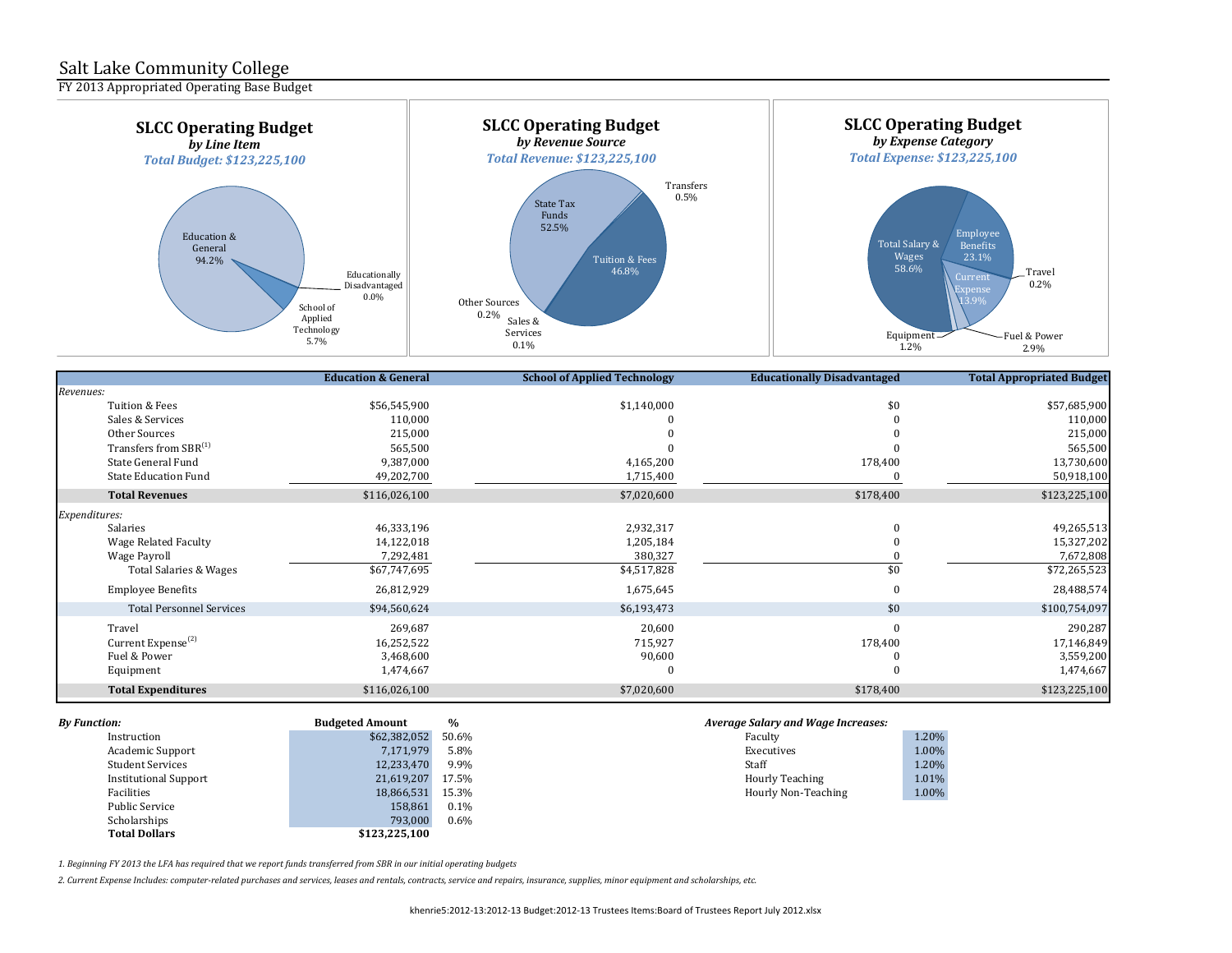FY 2013 Appropriated Operating Base Budget



|                                   | <b>Education &amp; General</b> | <b>School of Applied Technology</b> | <b>Educationally Disadvantaged</b> | <b>Total Appropriated Budget</b> |
|-----------------------------------|--------------------------------|-------------------------------------|------------------------------------|----------------------------------|
| Revenues:                         |                                |                                     |                                    |                                  |
| Tuition & Fees                    | \$56,545,900                   | \$1,140,000                         | \$0                                | \$57,685,900                     |
| Sales & Services                  | 110,000                        |                                     |                                    | 110,000                          |
| Other Sources                     | 215,000                        |                                     |                                    | 215,000                          |
| Transfers from SBR <sup>(1)</sup> | 565,500                        |                                     |                                    | 565,500                          |
| State General Fund                | 9,387,000                      | 4,165,200                           | 178,400                            | 13,730,600                       |
| <b>State Education Fund</b>       | 49,202,700                     | 1,715,400                           |                                    | 50,918,100                       |
| <b>Total Revenues</b>             | \$116,026,100                  | \$7,020,600                         | \$178,400                          | \$123,225,100                    |
| Expenditures:                     |                                |                                     |                                    |                                  |
| Salaries                          | 46,333,196                     | 2,932,317                           |                                    | 49,265,513                       |
| Wage Related Faculty              | 14,122,018                     | 1,205,184                           |                                    | 15,327,202                       |
| Wage Payroll                      | 7,292,481                      | 380,327                             |                                    | 7,672,808                        |
| Total Salaries & Wages            | \$67,747,695                   | \$4,517,828                         | \$0                                | \$72,265,523                     |
| <b>Employee Benefits</b>          | 26,812,929                     | 1,675,645                           | $\Omega$                           | 28,488,574                       |
| <b>Total Personnel Services</b>   | \$94,560,624                   | \$6,193,473                         | \$0                                | \$100,754,097                    |
| Travel                            | 269,687                        | 20,600                              | $\Omega$                           | 290,287                          |
| Current Expense <sup>(2)</sup>    | 16,252,522                     | 715,927                             | 178,400                            | 17,146,849                       |
| Fuel & Power                      | 3,468,600                      | 90,600                              |                                    | 3,559,200                        |
| Equipment                         | 1,474,667                      |                                     |                                    | 1,474,667                        |
| <b>Total Expenditures</b>         | \$116,026,100                  | \$7,020,600                         | \$178,400                          | \$123,225,100                    |

| <b>By Function:</b>          | <b>Budgeted Amount</b> | $\frac{0}{0}$ | <b>Average Salary and Wage Increases:</b> |       |
|------------------------------|------------------------|---------------|-------------------------------------------|-------|
| Instruction                  | \$62,382,052           | 50.6%         | Faculty                                   | 1.20% |
| Academic Support             | 7,171,979              | 5.8%          | Executives                                | 1.00% |
| <b>Student Services</b>      | 12,233,470             | 9.9%          | Staff                                     | 1.20% |
| <b>Institutional Support</b> | 21,619,207             | 17.5%         | <b>Hourly Teaching</b>                    | 1.01% |
| Facilities                   | 18,866,531             | 15.3%         | Hourly Non-Teaching                       | 1.00% |
| <b>Public Service</b>        | 158.861                | 0.1%          |                                           |       |
| Scholarships                 | 793,000                | 0.6%          |                                           |       |
| <b>Total Dollars</b>         | \$123,225,100          |               |                                           |       |

| Faculty                | 1.20% |
|------------------------|-------|
| Executives             | 1.00% |
| Staff                  | 1.20% |
| <b>Hourly Teaching</b> | 1.01% |
| Hourly Non-Teaching    | 1.00% |
|                        |       |

1. Beginning FY 2013 the LFA has required that we report funds transferred from SBR in our initial operating budgets

2. Current Expense Includes: computer-related purchases and services, leases and rentals, contracts, service and repairs, insurance, supplies, minor equipment and scholarships, etc.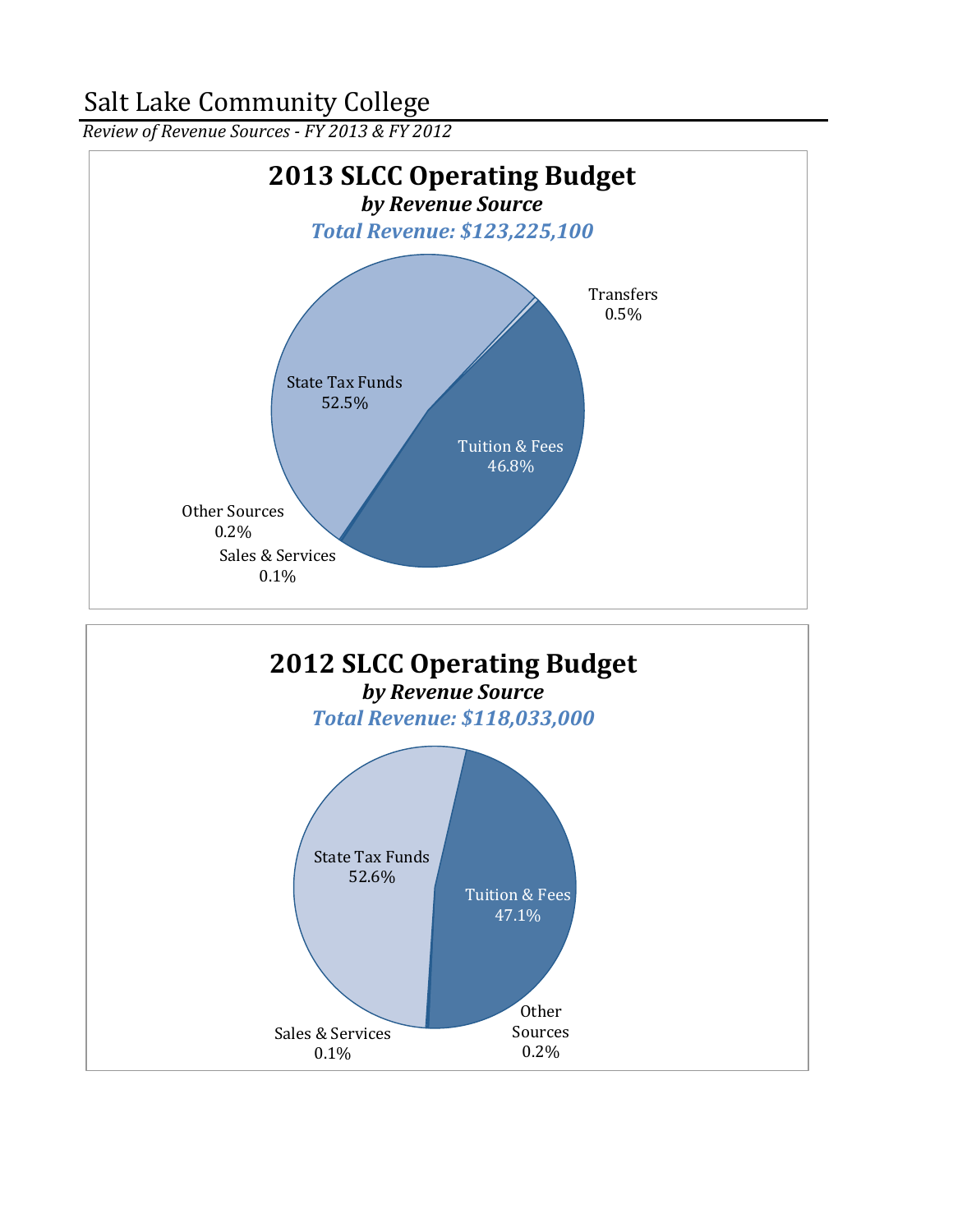*Review of Revenue Sources - FY 2013 & FY 2012*



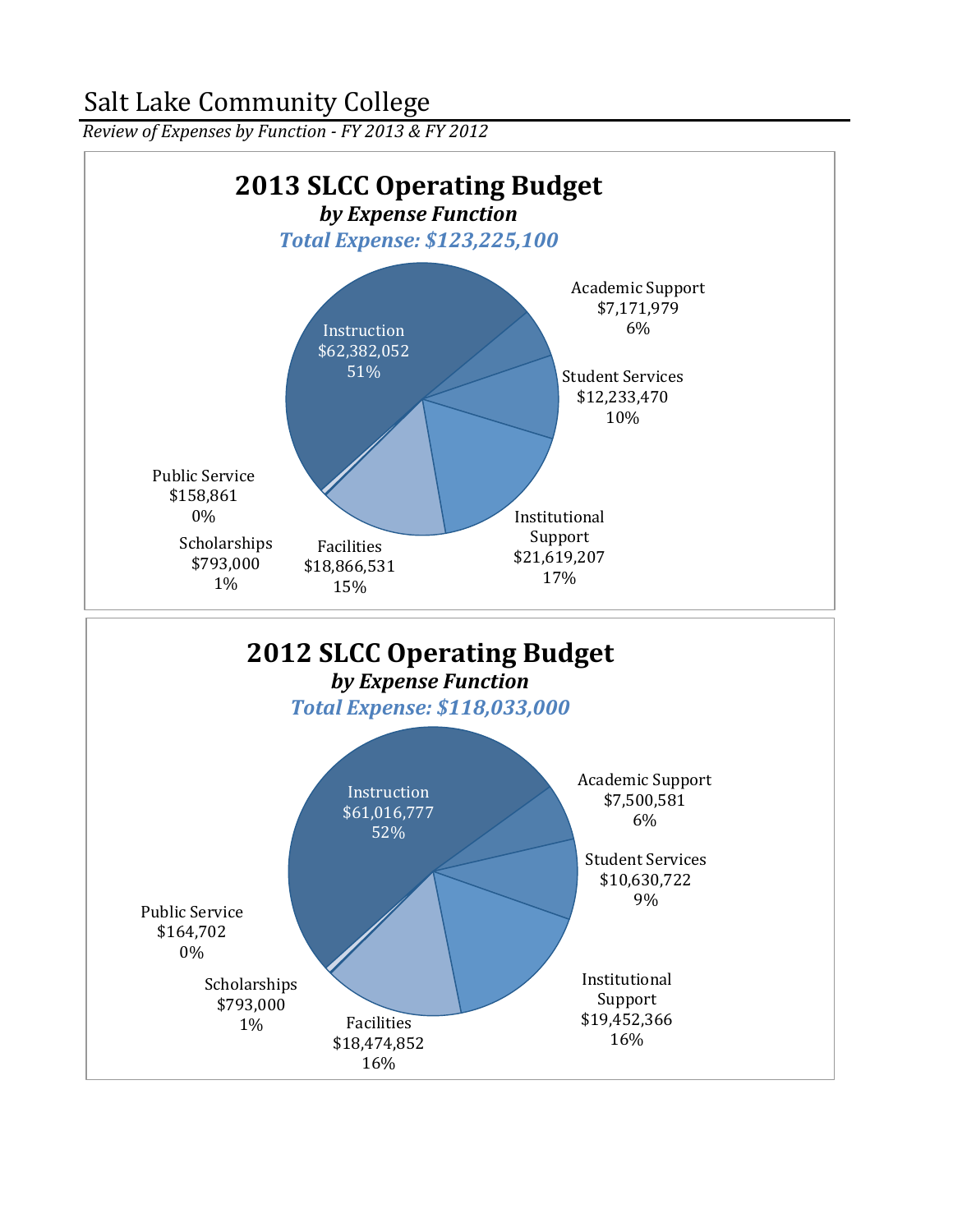*Review of Expenses by Function - FY 2013 & FY 2012* 

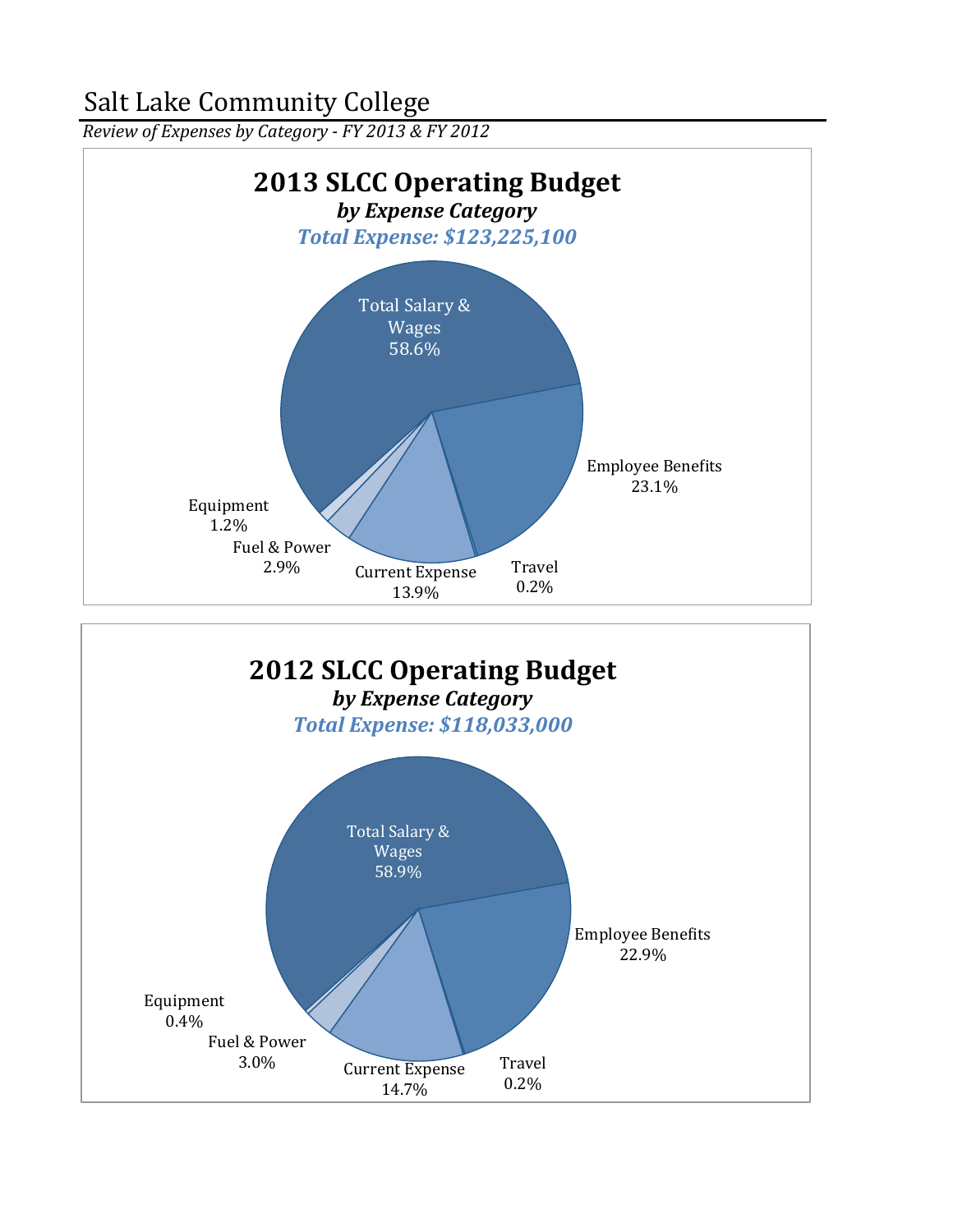*Review of Expenses by Category - FY 2013 & FY 2012* 



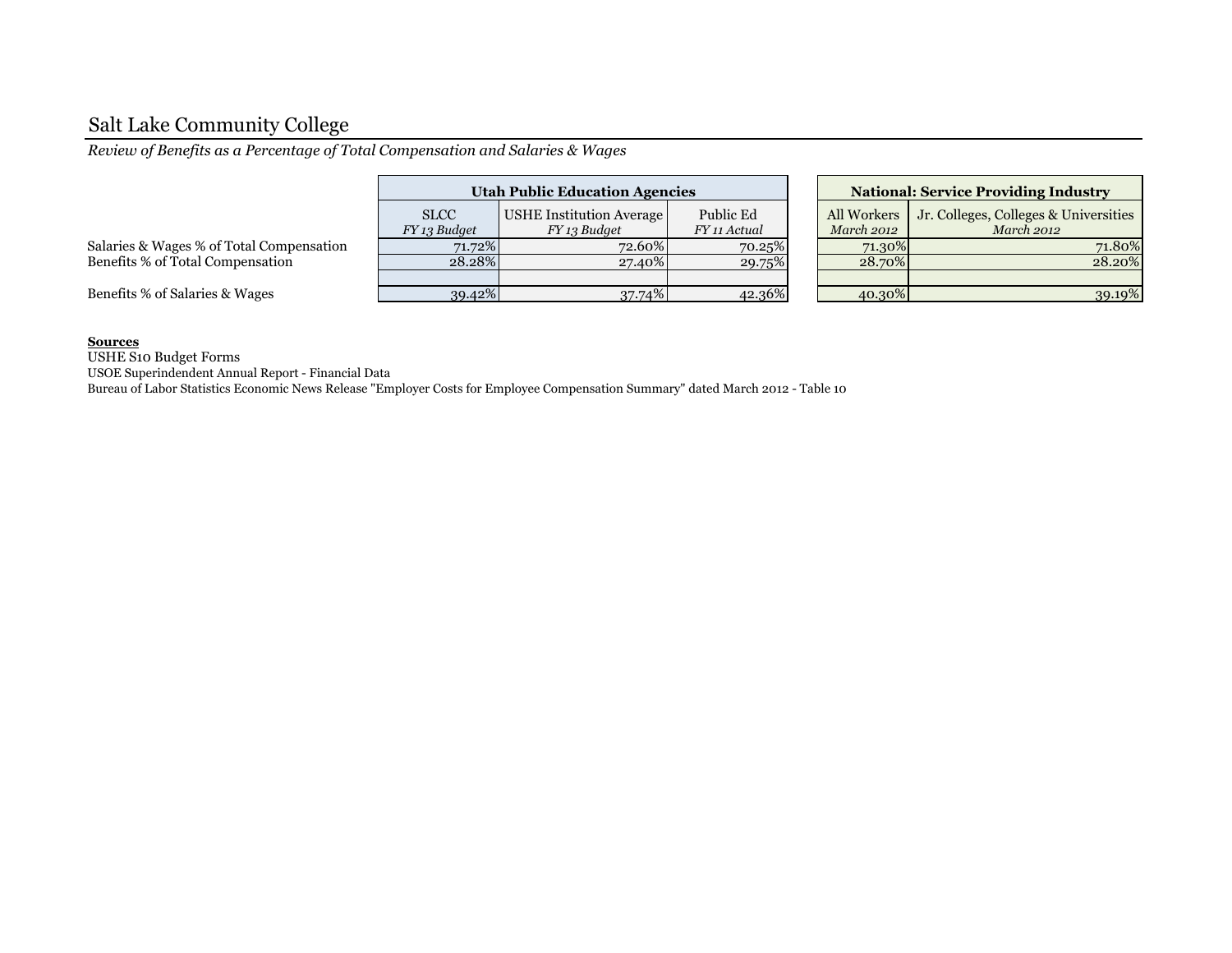*Review of Benefits as a Percentage of Total Compensation and Salaries & Wages*

|                                          |                             | <b>Utah Public Education Agencies</b>    | <b>National: Service Providing Industry</b> |                           |                                                     |  |
|------------------------------------------|-----------------------------|------------------------------------------|---------------------------------------------|---------------------------|-----------------------------------------------------|--|
|                                          | <b>SLCC</b><br>FY 13 Budget | USHE Institution Average<br>FY 13 Budget | Public Ed<br>FY 11 Actual                   | All Workers<br>March 2012 | Jr. Colleges, Colleges & Universities<br>March 2012 |  |
| Salaries & Wages % of Total Compensation | 71.72%                      | 72.60%                                   | 70.25%                                      | 71.30%                    | 71.80%                                              |  |
| Benefits % of Total Compensation         | 28.28%                      | 27.40%                                   | 29.75%                                      | 28.70%                    | 28.20%                                              |  |
|                                          |                             |                                          |                                             |                           |                                                     |  |
| Benefits % of Salaries & Wages           | 39.42%                      | 37.74%                                   | 42.36%                                      | 40.30%                    | 39.19%                                              |  |

| <b>National: Service Providing Industry</b> |                                                            |  |  |  |  |  |  |
|---------------------------------------------|------------------------------------------------------------|--|--|--|--|--|--|
| All Workers<br><b>March 2012</b>            | Jr. Colleges, Colleges & Universities<br><b>March 2012</b> |  |  |  |  |  |  |
| 71.30%                                      | 71.80%                                                     |  |  |  |  |  |  |
| 28.70%                                      | 28.20%                                                     |  |  |  |  |  |  |
|                                             |                                                            |  |  |  |  |  |  |
| 40.30%                                      |                                                            |  |  |  |  |  |  |

#### **Sources**

USHE S10 Budget Forms

USOE Superindendent Annual Report - Financial Data

Bureau of Labor Statistics Economic News Release "Employer Costs for Employee Compensation Summary" dated March 2012 - Table 10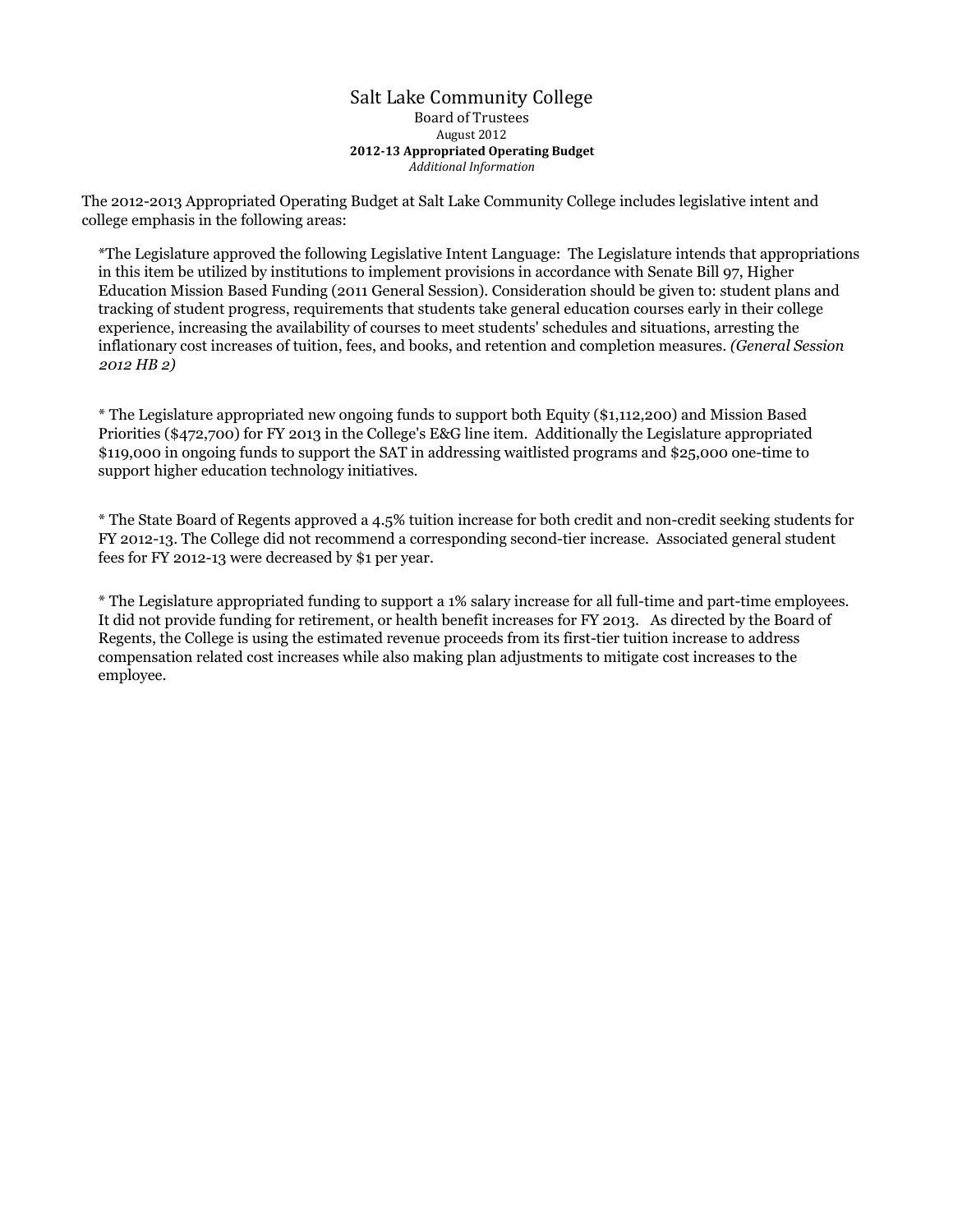#### Salt Lake Community College Board of Trustees August 2012 **2012-13 Appropriated Operating Budget** *Additional Information*

The 2012-2013 Appropriated Operating Budget at Salt Lake Community College includes legislative intent and college emphasis in the following areas:

\*The Legislature approved the following Legislative Intent Language: The Legislature intends that appropriations in this item be utilized by institutions to implement provisions in accordance with Senate Bill 97, Higher Education Mission Based Funding (2011 General Session). Consideration should be given to: student plans and tracking of student progress, requirements that students take general education courses early in their college experience, increasing the availability of courses to meet students' schedules and situations, arresting the inflationary cost increases of tuition, fees, and books, and retention and completion measures. *(General Session 2012 HB 2)*

\* The Legislature appropriated new ongoing funds to support both Equity (\$1,112,200) and Mission Based Priorities (\$472,700) for FY 2013 in the College's E&G line item. Additionally the Legislature appropriated \$119,000 in ongoing funds to support the SAT in addressing waitlisted programs and \$25,000 one-time to support higher education technology initiatives.

\* The State Board of Regents approved a 4.5% tuition increase for both credit and non-credit seeking students for FY 2012-13. The College did not recommend a corresponding second-tier increase. Associated general student fees for FY 2012-13 were decreased by \$1 per year.

\* The Legislature appropriated funding to support a 1% salary increase for all full-time and part-time employees. It did not provide funding for retirement, or health benefit increases for FY 2013. As directed by the Board of Regents, the College is using the estimated revenue proceeds from its first-tier tuition increase to address compensation related cost increases while also making plan adjustments to mitigate cost increases to the employee.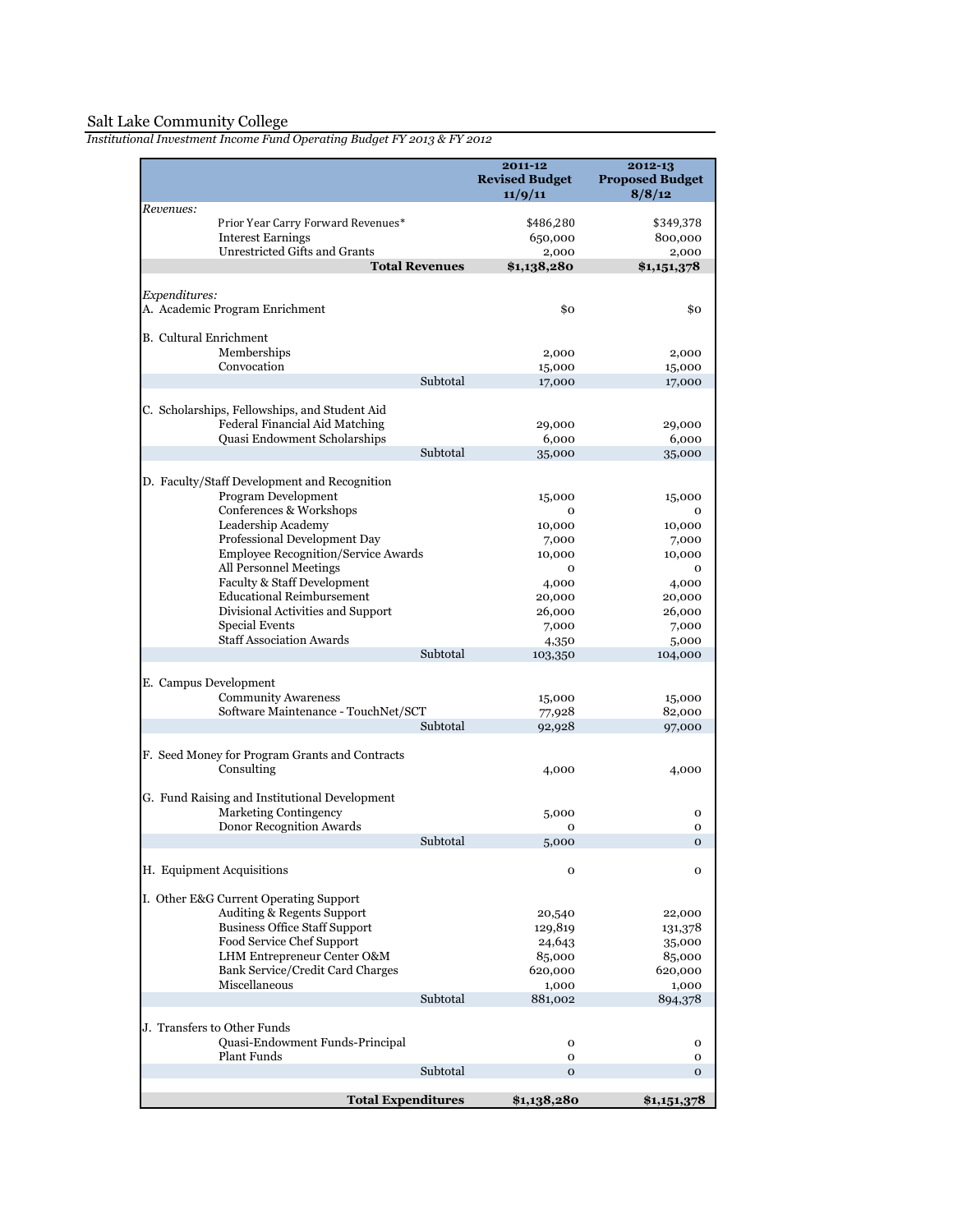|                               |                                                                                 |          | 2011-12<br><b>Revised Budget</b><br>11/9/11 | 2012-13<br><b>Proposed Budget</b><br>8/8/12 |
|-------------------------------|---------------------------------------------------------------------------------|----------|---------------------------------------------|---------------------------------------------|
| Revenues:                     |                                                                                 |          |                                             |                                             |
|                               | Prior Year Carry Forward Revenues*                                              |          | \$486,280                                   | \$349,378                                   |
|                               | <b>Interest Earnings</b><br>Unrestricted Gifts and Grants                       |          | 650,000                                     | 800,000                                     |
|                               | <b>Total Revenues</b>                                                           |          | 2,000<br>\$1,138,280                        | 2,000<br>\$1,151,378                        |
|                               |                                                                                 |          |                                             |                                             |
| Expenditures:                 | A. Academic Program Enrichment                                                  |          | \$0                                         | \$0                                         |
| <b>B.</b> Cultural Enrichment |                                                                                 |          |                                             |                                             |
|                               | Memberships                                                                     |          | 2,000                                       | 2,000                                       |
|                               | Convocation                                                                     |          | 15,000                                      | 15,000                                      |
|                               |                                                                                 | Subtotal | 17,000                                      | 17,000                                      |
|                               | C. Scholarships, Fellowships, and Student Aid<br>Federal Financial Aid Matching |          | 29,000                                      | 29,000                                      |
|                               | Quasi Endowment Scholarships                                                    |          | 6,000                                       | 6,000                                       |
|                               |                                                                                 | Subtotal | 35,000                                      | 35,000                                      |
|                               | D. Faculty/Staff Development and Recognition<br>Program Development             |          |                                             |                                             |
|                               | Conferences & Workshops                                                         |          | 15,000<br>0                                 | 15,000<br>0                                 |
|                               | Leadership Academy                                                              |          | 10,000                                      | 10,000                                      |
|                               | Professional Development Day                                                    |          | 7,000                                       | 7,000                                       |
|                               | Employee Recognition/Service Awards                                             |          | 10,000                                      | 10,000                                      |
|                               | All Personnel Meetings                                                          |          | 0                                           | 0                                           |
|                               | Faculty & Staff Development                                                     |          | 4,000                                       | 4,000                                       |
|                               | <b>Educational Reimbursement</b>                                                |          | 20,000                                      | 20,000                                      |
|                               | Divisional Activities and Support                                               |          | 26,000                                      | 26,000                                      |
|                               | Special Events                                                                  |          | 7,000                                       | 7,000                                       |
|                               | <b>Staff Association Awards</b>                                                 | Subtotal | 4,350                                       | 5,000                                       |
|                               |                                                                                 |          | 103,350                                     | 104,000                                     |
|                               | E. Campus Development                                                           |          |                                             |                                             |
|                               | <b>Community Awareness</b>                                                      |          | 15,000                                      | 15,000                                      |
|                               | Software Maintenance - TouchNet/SCT                                             |          | 77,928                                      | 82,000                                      |
|                               |                                                                                 | Subtotal | 92,928                                      | 97,000                                      |
|                               | F. Seed Money for Program Grants and Contracts<br>Consulting                    |          | 4,000                                       | 4,000                                       |
|                               | G. Fund Raising and Institutional Development                                   |          |                                             |                                             |
|                               | <b>Marketing Contingency</b>                                                    |          | 5,000                                       | 0                                           |
|                               | Donor Recognition Awards                                                        |          | 0                                           | O                                           |
|                               |                                                                                 | Subtotal | 5,000                                       | 0                                           |
|                               | H. Equipment Acquisitions                                                       |          | $\mathbf{o}$                                | O                                           |
|                               | I. Other E&G Current Operating Support                                          |          |                                             |                                             |
|                               | Auditing & Regents Support                                                      |          | 20,540                                      | 22,000                                      |
|                               | <b>Business Office Staff Support</b>                                            |          | 129,819                                     | 131,378                                     |
|                               | Food Service Chef Support                                                       |          | 24,643                                      | 35,000                                      |
|                               | LHM Entrepreneur Center O&M                                                     |          | 85,000                                      | 85,000                                      |
|                               | Bank Service/Credit Card Charges                                                |          | 620,000                                     | 620,000                                     |
|                               | Miscellaneous                                                                   |          | 1,000                                       | 1,000                                       |
|                               |                                                                                 | Subtotal | 881,002                                     | 894,378                                     |
|                               | J. Transfers to Other Funds<br><b>Quasi-Endowment Funds-Principal</b>           |          | o                                           | o                                           |
|                               | <b>Plant Funds</b>                                                              |          | 0                                           | 0                                           |
|                               |                                                                                 | Subtotal | $\mathbf{o}$                                | 0                                           |
|                               |                                                                                 |          |                                             |                                             |
|                               | <b>Total Expenditures</b>                                                       |          | \$1,138,280                                 | \$1,151,378                                 |

*Institutional Investment Income Fund Operating Budget FY 2013 & FY 2012*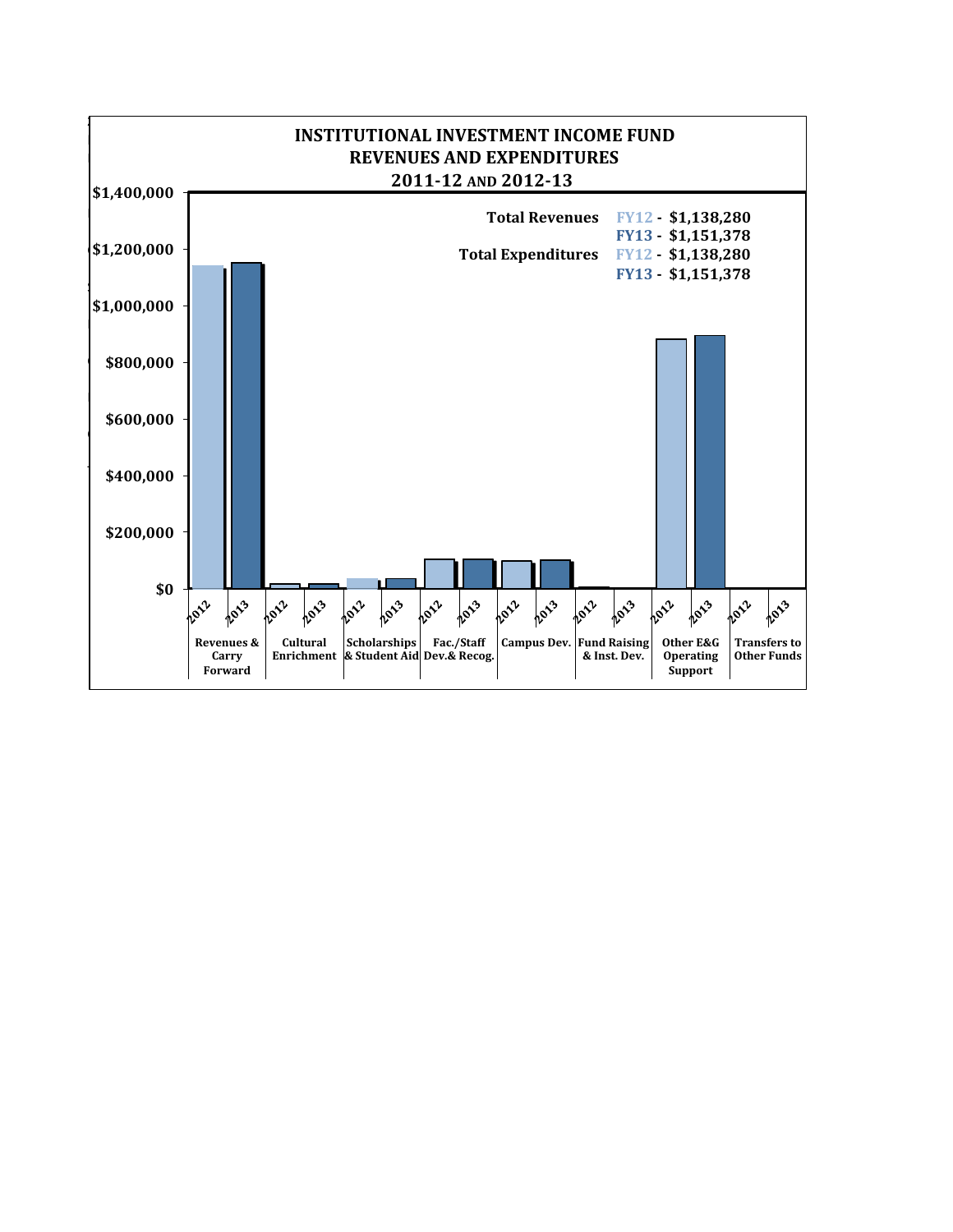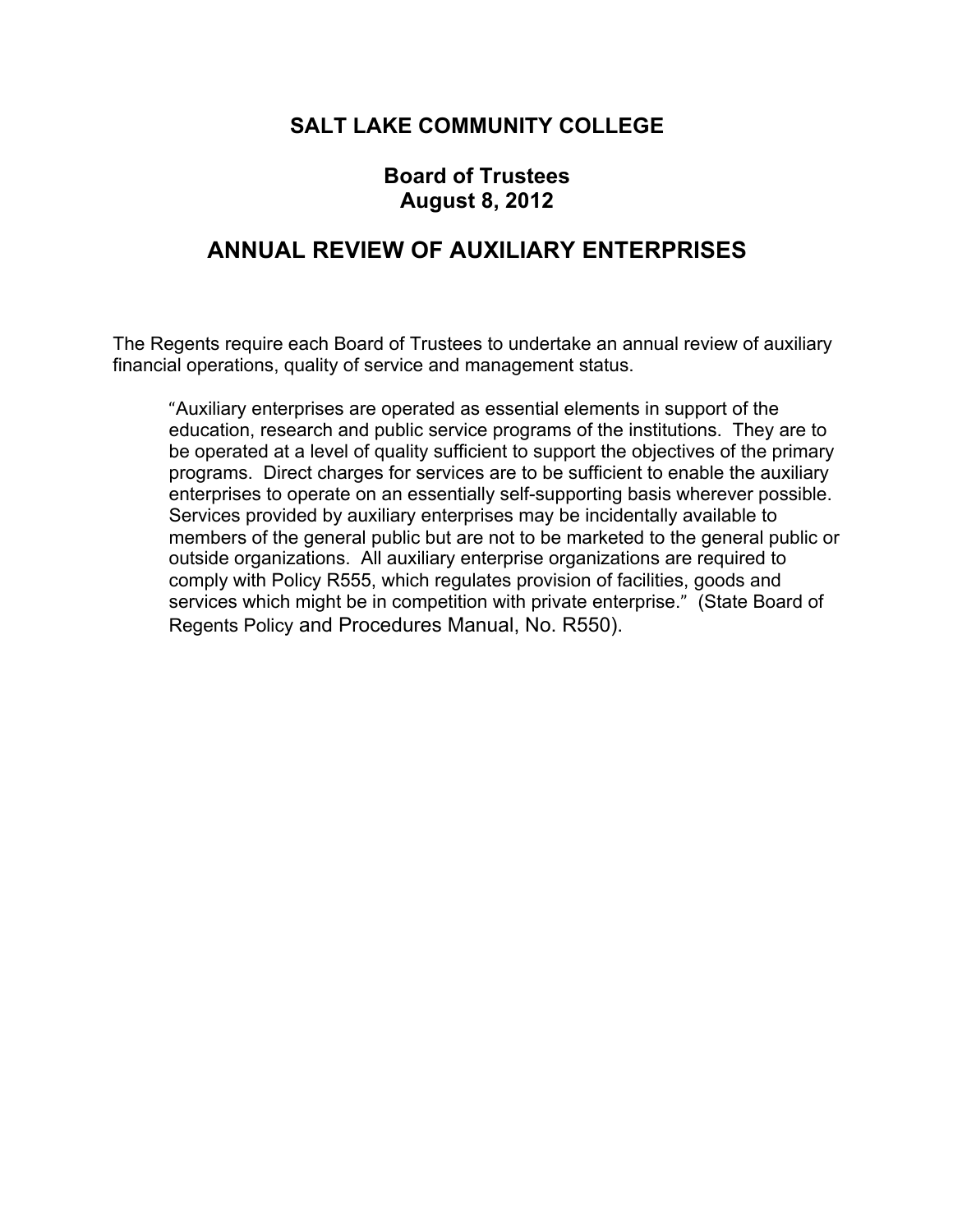### **SALT LAKE COMMUNITY COLLEGE**

#### **Board of Trustees August 8, 2012**

### **ANNUAL REVIEW OF AUXILIARY ENTERPRISES**

The Regents require each Board of Trustees to undertake an annual review of auxiliary financial operations, quality of service and management status.

"Auxiliary enterprises are operated as essential elements in support of the education, research and public service programs of the institutions. They are to be operated at a level of quality sufficient to support the objectives of the primary programs. Direct charges for services are to be sufficient to enable the auxiliary enterprises to operate on an essentially self-supporting basis wherever possible. Services provided by auxiliary enterprises may be incidentally available to members of the general public but are not to be marketed to the general public or outside organizations. All auxiliary enterprise organizations are required to comply with Policy R555, which regulates provision of facilities, goods and services which might be in competition with private enterprise." (State Board of Regents Policy and Procedures Manual, No. R550).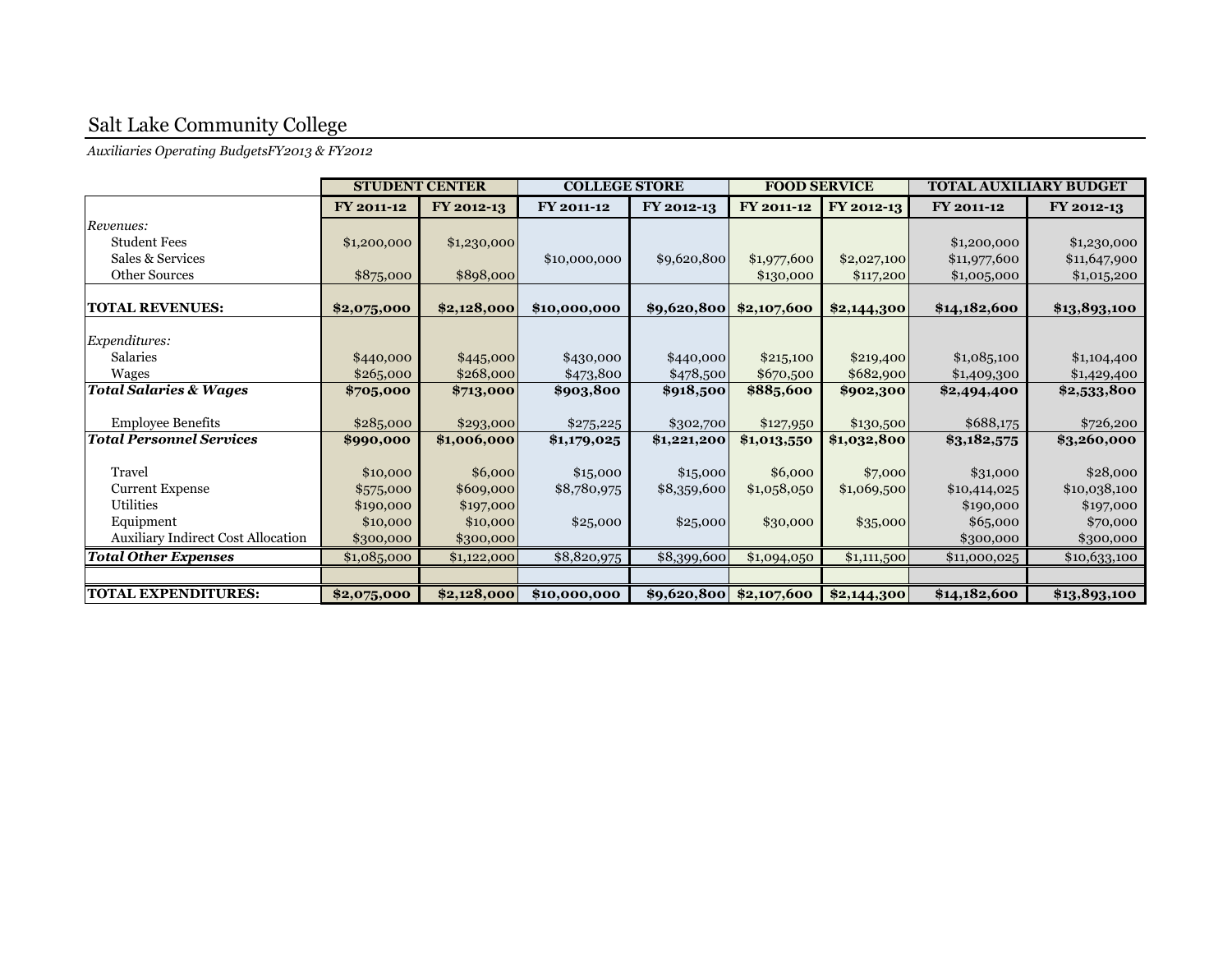*Auxiliaries Operating BudgetsFY2013 & FY2012*

|                                           | <b>STUDENT CENTER</b> |             | <b>COLLEGE STORE</b> |             | <b>FOOD SERVICE</b>           |             | <b>TOTAL AUXILIARY BUDGET</b> |              |
|-------------------------------------------|-----------------------|-------------|----------------------|-------------|-------------------------------|-------------|-------------------------------|--------------|
|                                           | FY 2011-12            | FY 2012-13  | FY 2011-12           | FY 2012-13  | FY 2011-12                    | FY 2012-13  | FY 2011-12                    | FY 2012-13   |
| Revenues:                                 |                       |             |                      |             |                               |             |                               |              |
| <b>Student Fees</b>                       | \$1,200,000           | \$1,230,000 |                      |             |                               |             | \$1,200,000                   | \$1,230,000  |
| Sales & Services                          |                       |             | \$10,000,000         | \$9,620,800 | \$1,977,600                   | \$2,027,100 | \$11,977,600                  | \$11,647,900 |
| <b>Other Sources</b>                      | \$875,000             | \$898,000   |                      |             | \$130,000                     | \$117,200   | \$1,005,000                   | \$1,015,200  |
|                                           |                       |             |                      |             |                               |             |                               |              |
| <b>TOTAL REVENUES:</b>                    | \$2,075,000           | \$2,128,000 | \$10,000,000         | \$9,620,800 | \$2,107,600                   | \$2,144,300 | \$14,182,600                  | \$13,893,100 |
| <i>Expenditures:</i>                      |                       |             |                      |             |                               |             |                               |              |
| Salaries                                  | \$440,000             | \$445,000   | \$430,000            | \$440,000   | \$215,100                     | \$219,400   | \$1,085,100                   | \$1,104,400  |
| Wages                                     | \$265,000             | \$268,000   | \$473,800            | \$478,500   | \$670,500                     | \$682,900   | \$1,409,300                   | \$1,429,400  |
| <b>Total Salaries &amp; Wages</b>         | \$705,000             | \$713,000   | \$903,800            | \$918,500   | \$885,600                     | \$902,300   | \$2,494,400                   | \$2,533,800  |
|                                           |                       |             |                      |             |                               |             |                               |              |
| <b>Employee Benefits</b>                  | \$285,000             | \$293,000   | \$275,225            | \$302,700   | \$127,950                     | \$130,500   | \$688,175                     | \$726,200    |
| <b>Total Personnel Services</b>           | \$990,000             | \$1,006,000 | \$1,179,025          | \$1,221,200 | \$1,013,550                   | \$1,032,800 | \$3,182,575                   | \$3,260,000  |
|                                           |                       |             |                      |             |                               |             |                               |              |
| Travel                                    | \$10,000              | \$6,000     | \$15,000             | \$15,000    | \$6,000                       | \$7,000     | \$31,000                      | \$28,000     |
| <b>Current Expense</b>                    | \$575,000             | \$609,000   | \$8,780,975          | \$8,359,600 | \$1,058,050                   | \$1,069,500 | \$10,414,025                  | \$10,038,100 |
| Utilities                                 | \$190,000             | \$197,000   |                      |             |                               |             | \$190,000                     | \$197,000    |
| Equipment                                 | \$10,000              | \$10,000    | \$25,000             | \$25,000    | \$30,000                      | \$35,000    | \$65,000                      | \$70,000     |
| <b>Auxiliary Indirect Cost Allocation</b> | \$300,000             | \$300,000   |                      |             |                               |             | \$300,000                     | \$300,000    |
| <b>Total Other Expenses</b>               | \$1,085,000           | \$1,122,000 | \$8,820,975          | \$8,399,600 | \$1,094,050                   | \$1,111,500 | \$11,000,025                  | \$10,633,100 |
|                                           |                       |             |                      |             |                               |             |                               |              |
| <b>TOTAL EXPENDITURES:</b>                | \$2,075,000           | \$2,128,000 | \$10,000,000         |             | $ $9,620,800 \mid $2,107,600$ | \$2,144,300 | \$14,182,600                  | \$13,893,100 |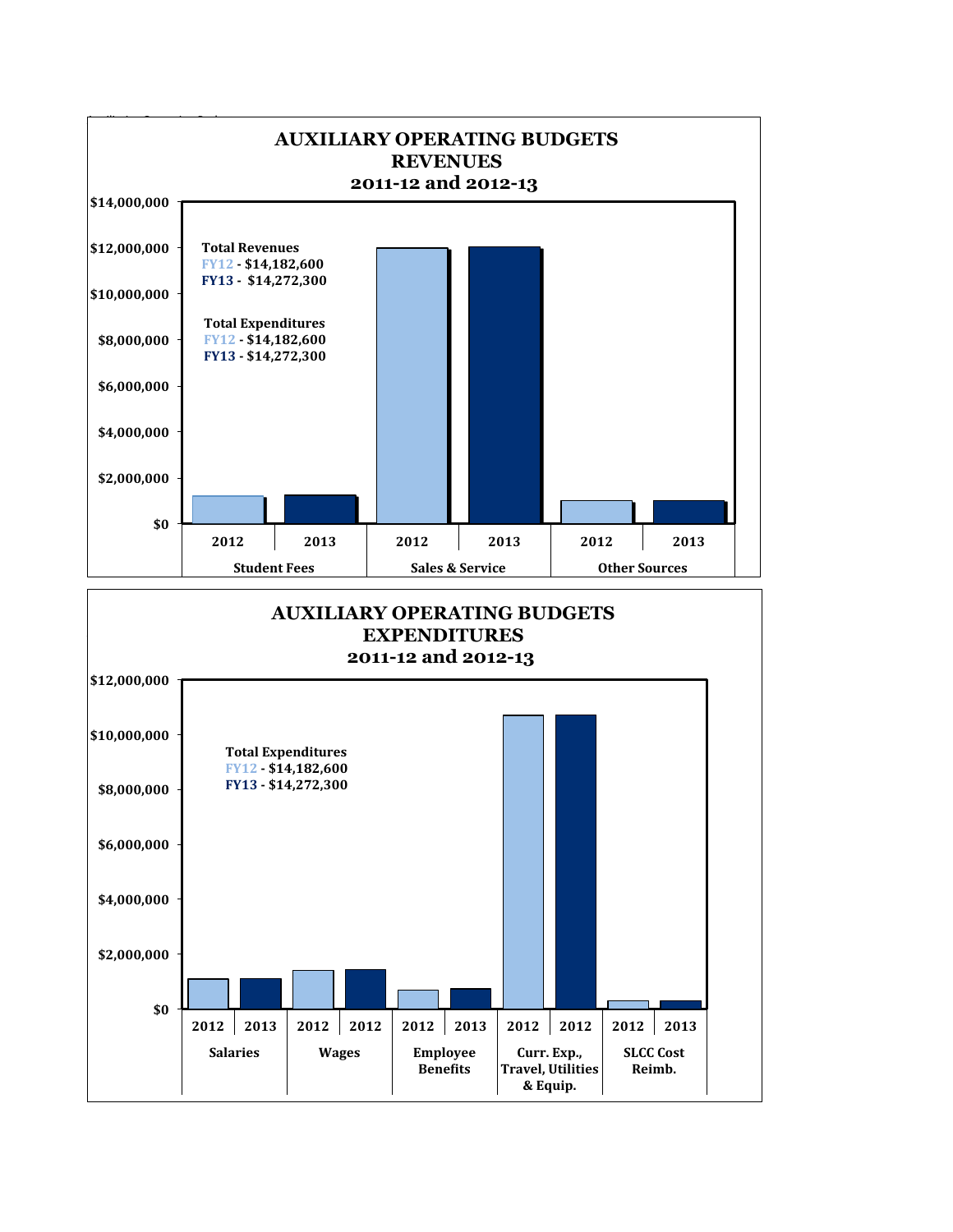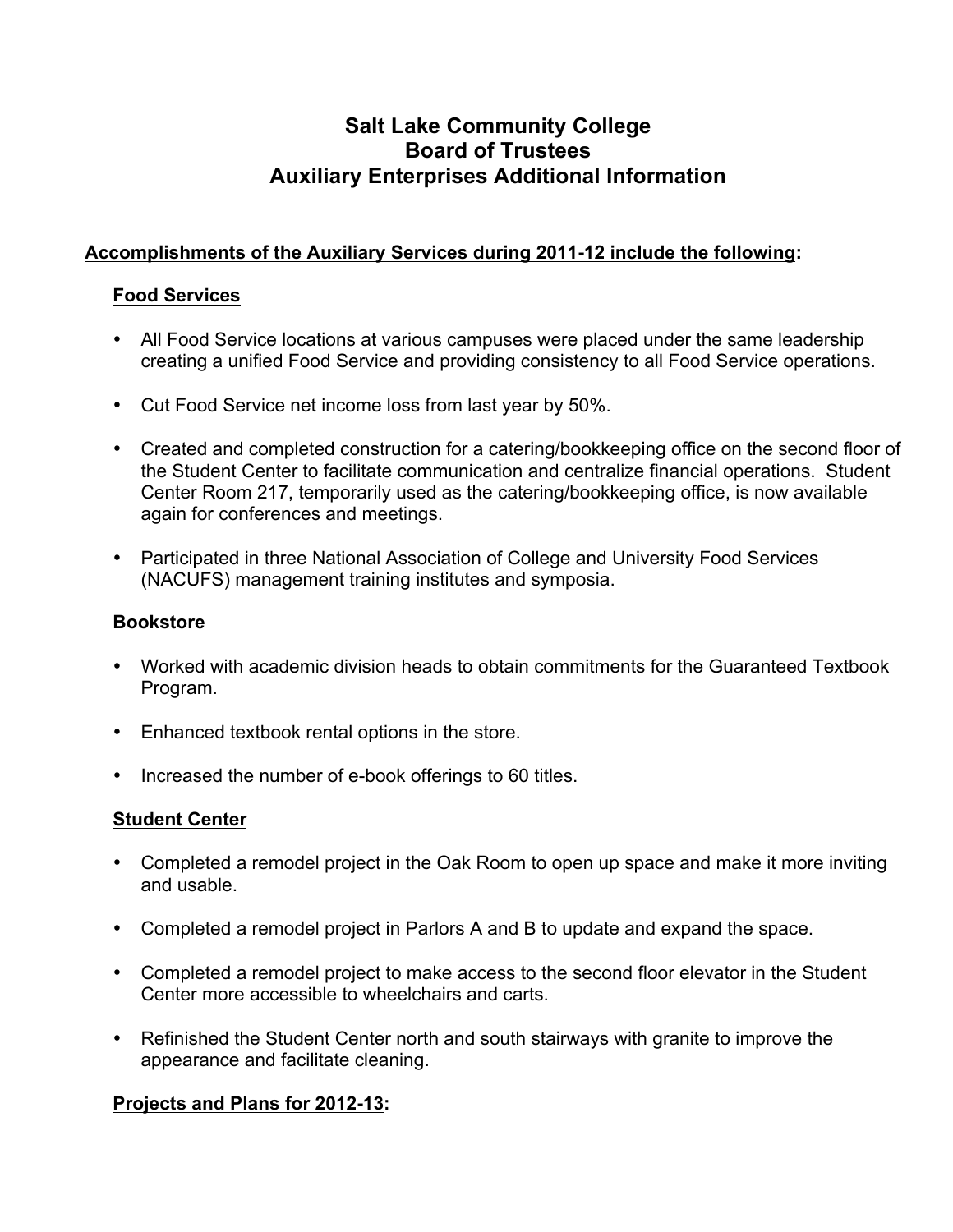#### **Salt Lake Community College Board of Trustees Auxiliary Enterprises Additional Information**

#### **Accomplishments of the Auxiliary Services during 2011-12 include the following:**

#### **Food Services**

- All Food Service locations at various campuses were placed under the same leadership creating a unified Food Service and providing consistency to all Food Service operations.
- Cut Food Service net income loss from last year by 50%.
- Created and completed construction for a catering/bookkeeping office on the second floor of the Student Center to facilitate communication and centralize financial operations. Student Center Room 217, temporarily used as the catering/bookkeeping office, is now available again for conferences and meetings.
- Participated in three National Association of College and University Food Services (NACUFS) management training institutes and symposia.

#### **Bookstore**

- Worked with academic division heads to obtain commitments for the Guaranteed Textbook Program.
- Enhanced textbook rental options in the store.
- Increased the number of e-book offerings to 60 titles.

#### **Student Center**

- Completed a remodel project in the Oak Room to open up space and make it more inviting and usable.
- Completed a remodel project in Parlors A and B to update and expand the space.
- Completed a remodel project to make access to the second floor elevator in the Student Center more accessible to wheelchairs and carts.
- Refinished the Student Center north and south stairways with granite to improve the appearance and facilitate cleaning.

#### **Projects and Plans for 2012-13:**